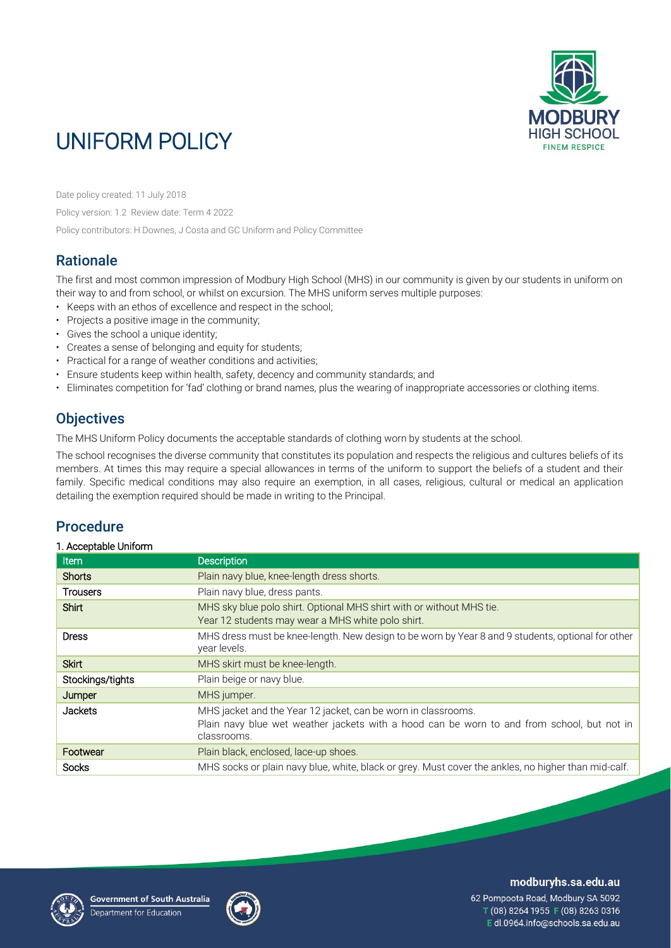

# UNIFORM POLICY

Date policy created: 11 July 2018

Policy version: 1.2 Review date: Term 4 2022 Policy contributors: H Downes, J Costa and GC Uniform and Policy Committee

## **Rationale**

The first and most common impression of Modbury High School (MHS) in our community is given by our students in uniform on their way to and from school, or whilst on excursion. The MHS uniform serves multiple purposes:

- Keeps with an ethos of excellence and respect in the school;
- Projects a positive image in the community;
- Gives the school a unique identity;
- Creates a sense of belonging and equity for students;
- Practical for a range of weather conditions and activities;
- Ensure students keep within health, safety, decency and community standards; and
- Eliminates competition for 'fad' clothing or brand names, plus the wearing of inappropriate accessories or clothing items.

## **Objectives**

The MHS Uniform Policy documents the acceptable standards of clothing worn by students at the school.

The school recognises the diverse community that constitutes its population and respects the religious and cultures beliefs of its members. At times this may require a special allowances in terms of the uniform to support the beliefs of a student and their family. Specific medical conditions may also require an exemption, in all cases, religious, cultural or medical an application detailing the exemption required should be made in writing to the Principal.

## Procedure

#### 1. Acceptable Uniform

| Item             | <b>Description</b>                                                                                                                                                         |
|------------------|----------------------------------------------------------------------------------------------------------------------------------------------------------------------------|
| Shorts           | Plain navy blue, knee-length dress shorts.                                                                                                                                 |
| <b>Trousers</b>  | Plain navy blue, dress pants.                                                                                                                                              |
| <b>Shirt</b>     | MHS sky blue polo shirt. Optional MHS shirt with or without MHS tie.<br>Year 12 students may wear a MHS white polo shirt.                                                  |
| <b>Dress</b>     | MHS dress must be knee-length. New design to be worn by Year 8 and 9 students, optional for other<br>year levels.                                                          |
| <b>Skirt</b>     | MHS skirt must be knee-length.                                                                                                                                             |
| Stockings/tights | Plain beige or navy blue.                                                                                                                                                  |
| Jumper           | MHS jumper.                                                                                                                                                                |
| <b>Jackets</b>   | MHS jacket and the Year 12 jacket, can be worn in classrooms.<br>Plain navy blue wet weather jackets with a hood can be worn to and from school, but not in<br>classrooms. |
| Footwear         | Plain black, enclosed, lace-up shoes.                                                                                                                                      |
| Socks            | MHS socks or plain navy blue, white, black or grey. Must cover the ankles, no higher than mid-calf.                                                                        |





modburyhs.sa.edu.au

62 Pompoota Road, Modbury SA 5092 T (08) 8264 1955 F (08) 8263 0316 E dl.0964.info@schools.sa.edu.au